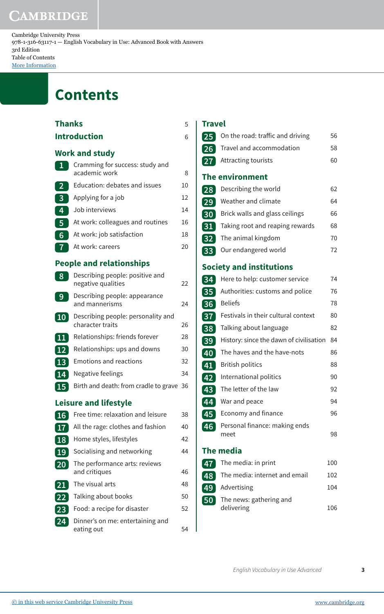Cambridge University Press 978-1-316-63117-1 — English Vocabulary in Use: Advanced Book with Answers 3rd Edition Table of Contents [More Information](www.cambridge.org/9781316631171)

## **Contents**

| Thanks          |                                                        |    |
|-----------------|--------------------------------------------------------|----|
|                 | Introduction                                           | 6  |
|                 | Work and study                                         |    |
| 1               | Cramming for success: study and<br>academic work       | 8  |
| $\overline{2}$  | Education: debates and issues                          | 10 |
| 3               | Applying for a job                                     | 12 |
| 4               | Job interviews                                         | 14 |
| 5               | At work: colleagues and routines                       | 16 |
| 6               | At work: job satisfaction                              | 18 |
| 7               | At work: careers                                       | 20 |
|                 | <b>People and relationships</b>                        |    |
| 8               | Describing people: positive and<br>negative qualities  | 22 |
| 9               | Describing people: appearance<br>and mannerisms        | 24 |
| $\overline{10}$ | Describing people: personality and<br>character traits | 26 |
| 11              | Relationships: friends forever                         | 28 |
| $\overline{12}$ | Relationships: ups and downs                           | 30 |
| 13              | <b>Emotions and reactions</b>                          | 32 |
| 14              | Negative feelings                                      | 34 |
| 15              | Birth and death: from cradle to grave 36               |    |
|                 | Leisure and lifestyle                                  |    |
| <b>16</b>       | Free time: relaxation and leisure                      | 38 |
| 17              | All the rage: clothes and fashion                      | 40 |
| 18              | Home styles, lifestyles                                | 42 |
| 19              | Socialising and networking                             | 44 |
| 20              | The performance arts: reviews<br>and critiques         | 46 |
| 21              | The visual arts                                        | 48 |
| 22              | Talking about books                                    | 50 |
| 23              | Food: a recipe for disaster                            | 52 |
| 24              | Dinner's on me: entertaining and<br>eating out         | 54 |

## **Travel**

| 25              | On the road: traffic and driving        | 56  |
|-----------------|-----------------------------------------|-----|
| 26 <sup>°</sup> | Travel and accommodation                | 58  |
| 27              | Attracting tourists                     | 60  |
|                 | The environment                         |     |
| 28              | Describing the world                    | 62  |
| 29              | Weather and climate                     | 64  |
| 30              | Brick walls and glass ceilings          | 66  |
| 31              | Taking root and reaping rewards         | 68  |
| 32 <sub>2</sub> | The animal kingdom                      | 70  |
| 33              | Our endangered world                    | 72  |
|                 | <b>Society and institutions</b>         |     |
| 34              | Here to help: customer service          | 74  |
| 35              | Authorities: customs and police         | 76  |
| 36              | <b>Beliefs</b>                          | 78  |
| 37              | Festivals in their cultural context     | 80  |
| 38              | Talking about language                  | 82  |
| 39              | History: since the dawn of civilisation | 84  |
| 40              | The haves and the have-nots             | 86  |
| 41              | <b>British politics</b>                 | 88  |
| 42              | International politics                  | 90  |
| 43              | The letter of the law                   | 92  |
| 44              | War and peace                           | 94  |
| 45              | Economy and finance                     | 96  |
| 46              | Personal finance: making ends<br>meet   | 98  |
|                 | <b>The media</b>                        |     |
| 47.             | The media: in print                     | 100 |
| 48              | The media: internet and email           | 102 |
| 49              | Advertising                             | 104 |
| 50              | The news: gathering and<br>delivering   | 106 |